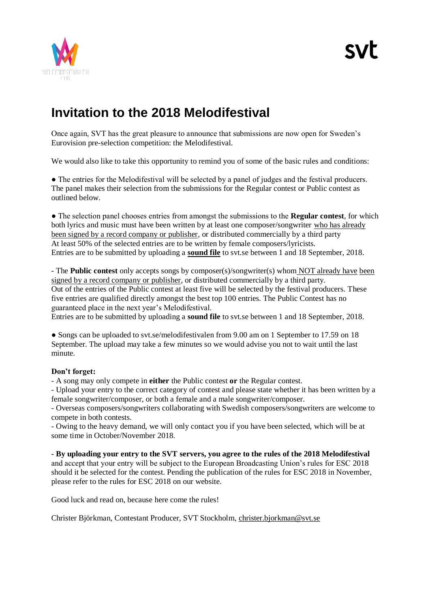

# **Invitation to the 2018 Melodifestival**

Once again, SVT has the great pleasure to announce that submissions are now open for Sweden's Eurovision pre-selection competition: the Melodifestival.

We would also like to take this opportunity to remind you of some of the basic rules and conditions:

• The entries for the Melodifestival will be selected by a panel of judges and the festival producers. The panel makes their selection from the submissions for the Regular contest or Public contest as outlined below.

● The selection panel chooses entries from amongst the submissions to the **Regular contest**, for which both lyrics and music must have been written by at least one composer/songwriter who has already been signed by a record company or publisher, or distributed commercially by a third party At least 50% of the selected entries are to be written by female composers/lyricists. Entries are to be submitted by uploading a **sound file** to svt.se between 1 and 18 September, 2018.

- The **Public contest** only accepts songs by composer(s)/songwriter(s) whom NOT already have been signed by a record company or publisher, or distributed commercially by a third party. Out of the entries of the Public contest at least five will be selected by the festival producers. These five entries are qualified directly amongst the best top 100 entries. The Public Contest has no guaranteed place in the next year's Melodifestival.

Entries are to be submitted by uploading a **sound file** to svt.se between 1 and 18 September, 2018.

• Songs can be uploaded to svt.se/melodifestivalen from 9.00 am on 1 September to 17.59 on 18 September. The upload may take a few minutes so we would advise you not to wait until the last minute.

# **Don't forget:**

- A song may only compete in **either** the Public contest **or** the Regular contest.

- Upload your entry to the correct category of contest and please state whether it has been written by a female songwriter/composer, or both a female and a male songwriter/composer.

- Overseas composers/songwriters collaborating with Swedish composers/songwriters are welcome to compete in both contests.

- Owing to the heavy demand, we will only contact you if you have been selected, which will be at some time in October/November 2018.

**- By uploading your entry to the SVT servers, you agree to the rules of the 2018 Melodifestival** and accept that your entry will be subject to the European Broadcasting Union's rules for ESC 2018 should it be selected for the contest. Pending the publication of the rules for ESC 2018 in November, please refer to the rules for ESC 2018 on our website.

Good luck and read on, because here come the rules!

Christer Björkman, Contestant Producer, SVT Stockholm, [christer.bjorkman@svt.se](mailto:christer.bjorkman@svt.se)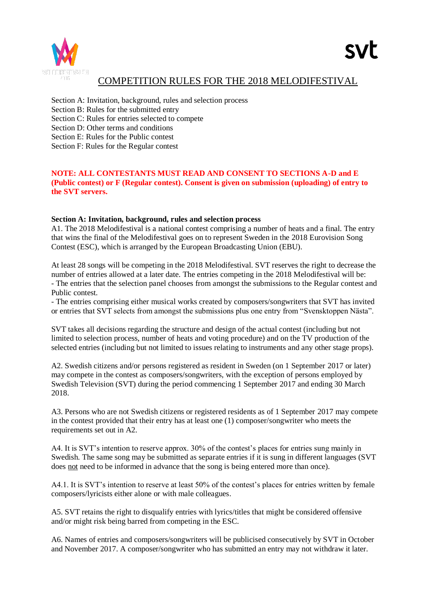

# COMPETITION RULES FOR THE 2018 MELODIFESTIVAL

Section A: Invitation, background, rules and selection process

Section B: Rules for the submitted entry

Section C: Rules for entries selected to compete

Section D: Other terms and conditions

Section E: Rules for the Public contest

Section F: Rules for the Regular contest

### **NOTE: ALL CONTESTANTS MUST READ AND CONSENT TO SECTIONS A-D and E (Public contest) or F (Regular contest). Consent is given on submission (uploading) of entry to the SVT servers.**

#### **Section A: Invitation, background, rules and selection process**

A1. The 2018 Melodifestival is a national contest comprising a number of heats and a final. The entry that wins the final of the Melodifestival goes on to represent Sweden in the 2018 Eurovision Song Contest (ESC), which is arranged by the European Broadcasting Union (EBU).

At least 28 songs will be competing in the 2018 Melodifestival. SVT reserves the right to decrease the number of entries allowed at a later date. The entries competing in the 2018 Melodifestival will be: - The entries that the selection panel chooses from amongst the submissions to the Regular contest and Public contest.

- The entries comprising either musical works created by composers/songwriters that SVT has invited or entries that SVT selects from amongst the submissions plus one entry from "Svensktoppen Nästa".

SVT takes all decisions regarding the structure and design of the actual contest (including but not limited to selection process, number of heats and voting procedure) and on the TV production of the selected entries (including but not limited to issues relating to instruments and any other stage props).

A2. Swedish citizens and/or persons registered as resident in Sweden (on 1 September 2017 or later) may compete in the contest as composers/songwriters, with the exception of persons employed by Swedish Television (SVT) during the period commencing 1 September 2017 and ending 30 March 2018.

A3. Persons who are not Swedish citizens or registered residents as of 1 September 2017 may compete in the contest provided that their entry has at least one (1) composer/songwriter who meets the requirements set out in A2.

A4. It is SVT's intention to reserve approx. 30% of the contest's places for entries sung mainly in Swedish. The same song may be submitted as separate entries if it is sung in different languages (SVT does not need to be informed in advance that the song is being entered more than once).

A4.1. It is SVT's intention to reserve at least 50% of the contest's places for entries written by female composers/lyricists either alone or with male colleagues.

A5. SVT retains the right to disqualify entries with lyrics/titles that might be considered offensive and/or might risk being barred from competing in the ESC.

A6. Names of entries and composers/songwriters will be publicised consecutively by SVT in October and November 2017. A composer/songwriter who has submitted an entry may not withdraw it later.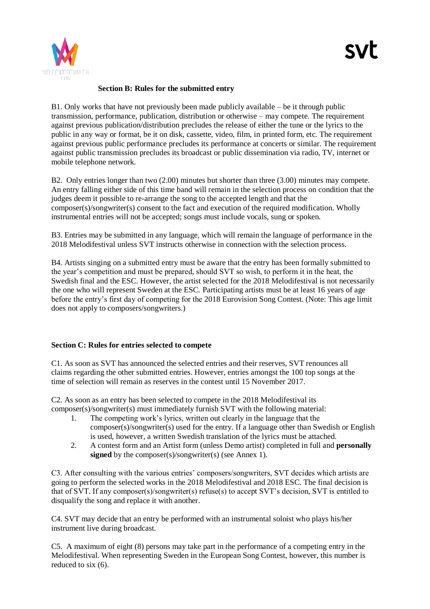

#### **Section B: Rules for the submitted entry**

B1. Only works that have not previously been made publicly available – be it through public transmission, performance, publication, distribution or otherwise – may compete. The requirement against previous publication/distribution precludes the release of either the tune or the lyrics to the public in any way or format, be it on disk, cassette, video, film, in printed form, etc. The requirement against previous public performance precludes its performance at concerts or similar. The requirement against public transmission precludes its broadcast or public dissemination via radio, TV, internet or mobile telephone network.

B2. Only entries longer than two (2.00) minutes but shorter than three (3.00) minutes may compete. An entry falling either side of this time band will remain in the selection process on condition that the judges deem it possible to re-arrange the song to the accepted length and that the composer(s)/songwriter(s) consent to the fact and execution of the required modification. Wholly instrumental entries will not be accepted; songs must include vocals, sung or spoken.

B3. Entries may be submitted in any language, which will remain the language of performance in the 2018 Melodifestival unless SVT instructs otherwise in connection with the selection process.

B4. Artists singing on a submitted entry must be aware that the entry has been formally submitted to the year's competition and must be prepared, should SVT so wish, to perform it in the heat, the Swedish final and the ESC. However, the artist selected for the 2018 Melodifestival is not necessarily the one who will represent Sweden at the ESC. Participating artists must be at least 16 years of age before the entry's first day of competing for the 2018 Eurovision Song Contest. (Note: This age limit does not apply to composers/songwriters.)

#### **Section C: Rules for entries selected to compete**

C1. As soon as SVT has announced the selected entries and their reserves, SVT renounces all claims regarding the other submitted entries. However, entries amongst the 100 top songs at the time of selection will remain as reserves in the contest until 15 November 2017.

C2. As soon as an entry has been selected to compete in the 2018 Melodifestival its composer(s)/songwriter(s) must immediately furnish SVT with the following material:

- 1. The competing work's lyrics, written out clearly in the language that the composer(s)/songwriter(s) used for the entry. If a language other than Swedish or English is used, however, a written Swedish translation of the lyrics must be attached.
- 2. A contest form and an Artist form (unless Demo artist) completed in full and **personally signed** by the composer(s)/songwriter(s) (see Annex 1).

C3. After consulting with the various entries' composers/songwriters, SVT decides which artists are going to perform the selected works in the 2018 Melodifestival and 2018 ESC. The final decision is that of SVT. If any composer(s)/songwriter(s) refuse(s) to accept SVT's decision, SVT is entitled to disqualify the song and replace it with another.

C4. SVT may decide that an entry be performed with an instrumental soloist who plays his/her instrument live during broadcast.

C5. A maximum of eight (8) persons may take part in the performance of a competing entry in the Melodifestival. When representing Sweden in the European Song Contest, however, this number is reduced to six (6).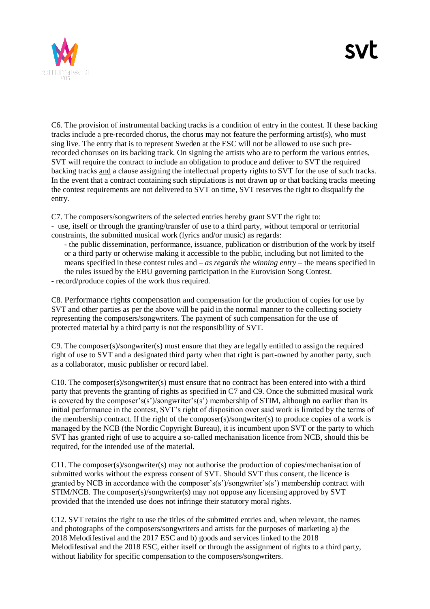

C6. The provision of instrumental backing tracks is a condition of entry in the contest. If these backing tracks include a pre-recorded chorus, the chorus may not feature the performing artist(s), who must sing live. The entry that is to represent Sweden at the ESC will not be allowed to use such prerecorded choruses on its backing track. On signing the artists who are to perform the various entries, SVT will require the contract to include an obligation to produce and deliver to SVT the required backing tracks and a clause assigning the intellectual property rights to SVT for the use of such tracks. In the event that a contract containing such stipulations is not drawn up or that backing tracks meeting the contest requirements are not delivered to SVT on time, SVT reserves the right to disqualify the entry.

C7. The composers/songwriters of the selected entries hereby grant SVT the right to: - use, itself or through the granting/transfer of use to a third party, without temporal or territorial constraints, the submitted musical work (lyrics and/or music) as regards:

- the public dissemination, performance, issuance, publication or distribution of the work by itself or a third party or otherwise making it accessible to the public, including but not limited to the means specified in these contest rules and – *as regards the winning entry –* the means specified in the rules issued by the EBU governing participation in the Eurovision Song Contest.

- record/produce copies of the work thus required.

C8. Performance rights compensation and compensation for the production of copies for use by SVT and other parties as per the above will be paid in the normal manner to the collecting society representing the composers/songwriters. The payment of such compensation for the use of protected material by a third party is not the responsibility of SVT.

C9. The composer(s)/songwriter(s) must ensure that they are legally entitled to assign the required right of use to SVT and a designated third party when that right is part-owned by another party, such as a collaborator, music publisher or record label.

C10. The composer(s)/songwriter(s) must ensure that no contract has been entered into with a third party that prevents the granting of rights as specified in C7 and C9. Once the submitted musical work is covered by the composer's(s')/songwriter's(s') membership of STIM, although no earlier than its initial performance in the contest, SVT's right of disposition over said work is limited by the terms of the membership contract. If the right of the composer(s)/songwriter(s) to produce copies of a work is managed by the NCB (the Nordic Copyright Bureau), it is incumbent upon SVT or the party to which SVT has granted right of use to acquire a so-called mechanisation licence from NCB, should this be required, for the intended use of the material.

C11. The composer(s)/songwriter(s) may not authorise the production of copies/mechanisation of submitted works without the express consent of SVT. Should SVT thus consent, the licence is granted by NCB in accordance with the composer's(s')/songwriter's(s') membership contract with STIM/NCB. The composer(s)/songwriter(s) may not oppose any licensing approved by SVT provided that the intended use does not infringe their statutory moral rights.

C12. SVT retains the right to use the titles of the submitted entries and, when relevant, the names and photographs of the composers/songwriters and artists for the purposes of marketing a) the 2018 Melodifestival and the 2017 ESC and b) goods and services linked to the 2018 Melodifestival and the 2018 ESC, either itself or through the assignment of rights to a third party, without liability for specific compensation to the composers/songwriters.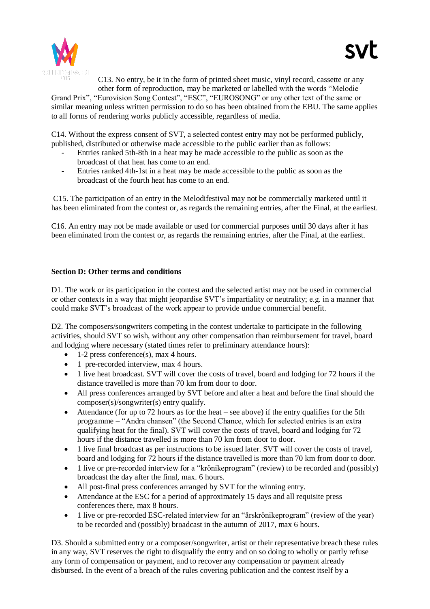

C13. No entry, be it in the form of printed sheet music, vinyl record, cassette or any other form of reproduction, may be marketed or labelled with the words "Melodie Grand Prix", "Eurovision Song Contest", "ESC", "EUROSONG" or any other text of the same or similar meaning unless written permission to do so has been obtained from the EBU. The same applies to all forms of rendering works publicly accessible, regardless of media.

C14. Without the express consent of SVT, a selected contest entry may not be performed publicly, published, distributed or otherwise made accessible to the public earlier than as follows:

- Entries ranked 5th-8th in a heat may be made accessible to the public as soon as the broadcast of that heat has come to an end.
- Entries ranked 4th-1st in a heat may be made accessible to the public as soon as the broadcast of the fourth heat has come to an end.

C15. The participation of an entry in the Melodifestival may not be commercially marketed until it has been eliminated from the contest or, as regards the remaining entries, after the Final, at the earliest.

C16. An entry may not be made available or used for commercial purposes until 30 days after it has been eliminated from the contest or, as regards the remaining entries, after the Final, at the earliest.

#### **Section D: Other terms and conditions**

D1. The work or its participation in the contest and the selected artist may not be used in commercial or other contexts in a way that might jeopardise SVT's impartiality or neutrality; e.g. in a manner that could make SVT's broadcast of the work appear to provide undue commercial benefit.

D2. The composers/songwriters competing in the contest undertake to participate in the following activities, should SVT so wish, without any other compensation than reimbursement for travel, board and lodging where necessary (stated times refer to preliminary attendance hours):

- $\bullet$  1-2 press conference(s), max 4 hours.
- 1 pre-recorded interview, max 4 hours.
- 1 live heat broadcast. SVT will cover the costs of travel, board and lodging for 72 hours if the distance travelled is more than 70 km from door to door.
- All press conferences arranged by SVT before and after a heat and before the final should the composer(s)/songwriter(s) entry qualify.
- Attendance (for up to 72 hours as for the heat see above) if the entry qualifies for the 5th programme – "Andra chansen" (the Second Chance, which for selected entries is an extra qualifying heat for the final). SVT will cover the costs of travel, board and lodging for 72 hours if the distance travelled is more than 70 km from door to door.
- 1 live final broadcast as per instructions to be issued later. SVT will cover the costs of travel, board and lodging for 72 hours if the distance travelled is more than 70 km from door to door.
- 1 live or pre-recorded interview for a "krönikeprogram" (review) to be recorded and (possibly) broadcast the day after the final, max. 6 hours.
- All post-final press conferences arranged by SVT for the winning entry.
- Attendance at the ESC for a period of approximately 15 days and all requisite press conferences there, max 8 hours.
- 1 live or pre-recorded ESC-related interview for an "årskrönikeprogram" (review of the year) to be recorded and (possibly) broadcast in the autumn of 2017, max 6 hours.

D3. Should a submitted entry or a composer/songwriter, artist or their representative breach these rules in any way, SVT reserves the right to disqualify the entry and on so doing to wholly or partly refuse any form of compensation or payment, and to recover any compensation or payment already disbursed. In the event of a breach of the rules covering publication and the contest itself by a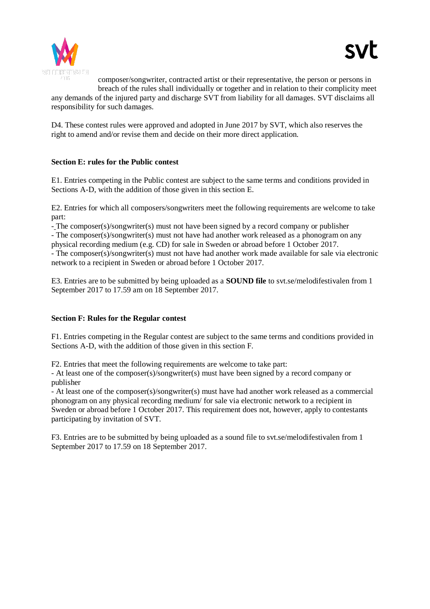

composer/songwriter, contracted artist or their representative, the person or persons in breach of the rules shall individually or together and in relation to their complicity meet any demands of the injured party and discharge SVT from liability for all damages. SVT disclaims all responsibility for such damages.

D4. These contest rules were approved and adopted in June 2017 by SVT, which also reserves the right to amend and/or revise them and decide on their more direct application.

#### **Section E: rules for the Public contest**

E1. Entries competing in the Public contest are subject to the same terms and conditions provided in Sections A-D, with the addition of those given in this section E.

E2. Entries for which all composers/songwriters meet the following requirements are welcome to take part:

- The composer(s)/songwriter(s) must not have been signed by a record company or publisher

- The composer(s)/songwriter(s) must not have had another work released as a phonogram on any physical recording medium (e.g. CD) for sale in Sweden or abroad before 1 October 2017.

- The composer(s)/songwriter(s) must not have had another work made available for sale via electronic network to a recipient in Sweden or abroad before 1 October 2017.

E3. Entries are to be submitted by being uploaded as a **SOUND file** to svt.se/melodifestivalen from 1 September 2017 to 17.59 am on 18 September 2017.

#### **Section F: Rules for the Regular contest**

F1. Entries competing in the Regular contest are subject to the same terms and conditions provided in Sections A-D, with the addition of those given in this section F.

F2. Entries that meet the following requirements are welcome to take part:

- At least one of the composer(s)/songwriter(s) must have been signed by a record company or publisher

- At least one of the composer(s)/songwriter(s) must have had another work released as a commercial phonogram on any physical recording medium/ for sale via electronic network to a recipient in Sweden or abroad before 1 October 2017. This requirement does not, however, apply to contestants participating by invitation of SVT.

F3. Entries are to be submitted by being uploaded as a sound file to svt.se/melodifestivalen from 1 September 2017 to 17.59 on 18 September 2017.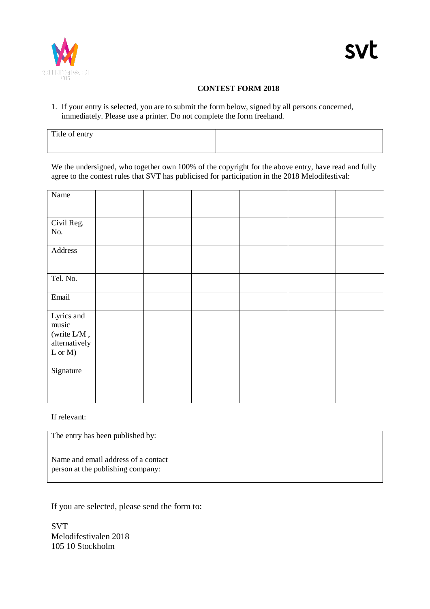

# **CONTEST FORM 2018**

1. If your entry is selected, you are to submit the form below, signed by all persons concerned, immediately. Please use a printer. Do not complete the form freehand.

| Title of entry |  |
|----------------|--|
|                |  |

We the undersigned, who together own 100% of the copyright for the above entry, have read and fully agree to the contest rules that SVT has publicised for participation in the 2018 Melodifestival:

| Name                          |  |  |  |
|-------------------------------|--|--|--|
|                               |  |  |  |
| Civil Reg.<br>No.             |  |  |  |
| Address                       |  |  |  |
| Tel. No.                      |  |  |  |
| Email                         |  |  |  |
| Lyrics and<br>music           |  |  |  |
| (write L/M,                   |  |  |  |
| alternatively<br>$L$ or $M$ ) |  |  |  |
|                               |  |  |  |
| Signature                     |  |  |  |
|                               |  |  |  |
|                               |  |  |  |

If relevant:

| The entry has been published by:                                         |  |
|--------------------------------------------------------------------------|--|
| Name and email address of a contact<br>person at the publishing company: |  |

If you are selected, please send the form to:

SVT Melodifestivalen 2018 105 10 Stockholm